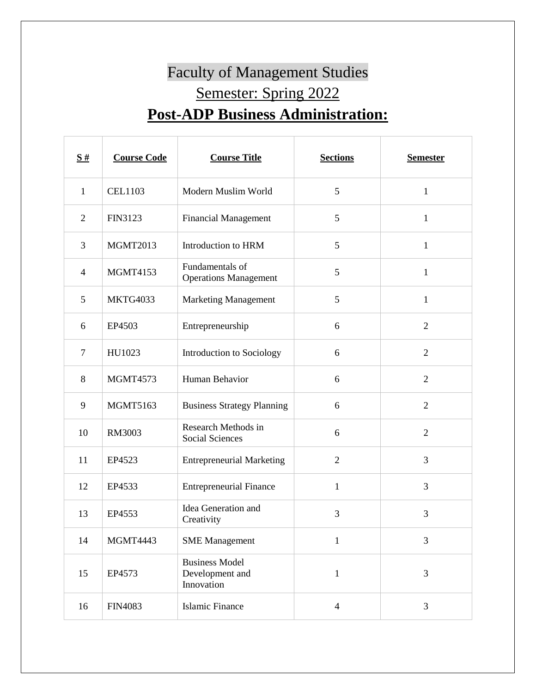## Faculty of Management Studies Semester: Spring 2022 **Post-ADP Business Administration:**

| S#             | <b>Course Code</b> | <b>Course Title</b>                                    | <b>Sections</b> | <b>Semester</b> |
|----------------|--------------------|--------------------------------------------------------|-----------------|-----------------|
| $\mathbf{1}$   | <b>CEL1103</b>     | Modern Muslim World                                    | 5               | $\mathbf{1}$    |
| $\overline{2}$ | FIN3123            | <b>Financial Management</b>                            | 5               | $\mathbf{1}$    |
| 3              | <b>MGMT2013</b>    | Introduction to HRM                                    | 5               | 1               |
| $\overline{4}$ | <b>MGMT4153</b>    | Fundamentals of<br><b>Operations Management</b>        | 5               | $\mathbf{1}$    |
| 5              | <b>MKTG4033</b>    | <b>Marketing Management</b>                            | 5               | $\mathbf{1}$    |
| 6              | EP4503             | Entrepreneurship                                       | 6               | $\overline{2}$  |
| $\overline{7}$ | HU1023             | Introduction to Sociology                              | 6               | $\overline{2}$  |
| 8              | <b>MGMT4573</b>    | Human Behavior                                         | 6               | $\overline{2}$  |
| 9              | <b>MGMT5163</b>    | <b>Business Strategy Planning</b>                      | 6               | $\overline{2}$  |
| 10             | RM3003             | Research Methods in<br><b>Social Sciences</b>          | 6               | $\overline{2}$  |
| 11             | EP4523             | <b>Entrepreneurial Marketing</b>                       | $\overline{2}$  | 3               |
| 12             | EP4533             | <b>Entrepreneurial Finance</b>                         | $\mathbf{1}$    | 3               |
| 13             | EP4553             | Idea Generation and<br>Creativity                      | 3               | 3               |
| 14             | MGMT4443           | <b>SME</b> Management                                  | $\mathbf{1}$    | 3               |
| 15             | EP4573             | <b>Business Model</b><br>Development and<br>Innovation | $\mathbf{1}$    | 3               |
| 16             | <b>FIN4083</b>     | <b>Islamic Finance</b>                                 | $\overline{4}$  | $\mathfrak{Z}$  |